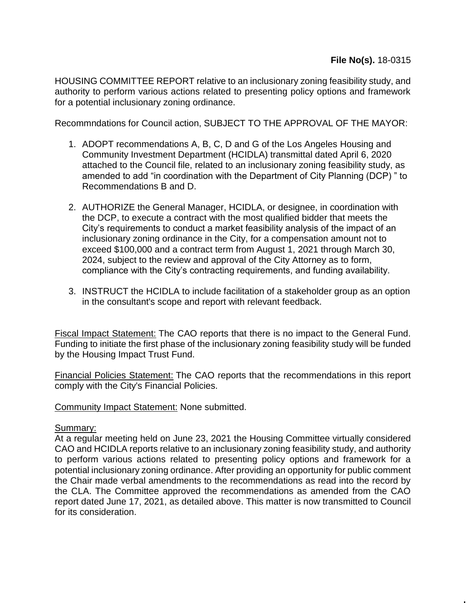HOUSING COMMITTEE REPORT relative to an inclusionary zoning feasibility study, and authority to perform various actions related to presenting policy options and framework for a potential inclusionary zoning ordinance.

Recommndations for Council action, SUBJECT TO THE APPROVAL OF THE MAYOR:

- 1. ADOPT recommendations A, B, C, D and G of the Los Angeles Housing and Community Investment Department (HCIDLA) transmittal dated April 6, 2020 attached to the Council file, related to an inclusionary zoning feasibility study, as amended to add "in coordination with the Department of City Planning (DCP) " to Recommendations B and D.
- 2. AUTHORIZE the General Manager, HCIDLA, or designee, in coordination with the DCP, to execute a contract with the most qualified bidder that meets the City's requirements to conduct a market feasibility analysis of the impact of an inclusionary zoning ordinance in the City, for a compensation amount not to exceed \$100,000 and a contract term from August 1, 2021 through March 30, 2024, subject to the review and approval of the City Attorney as to form, compliance with the City's contracting requirements, and funding availability.
- 3. INSTRUCT the HCIDLA to include facilitation of a stakeholder group as an option in the consultant's scope and report with relevant feedback.

Fiscal Impact Statement: The CAO reports that there is no impact to the General Fund. Funding to initiate the first phase of the inclusionary zoning feasibility study will be funded by the Housing Impact Trust Fund.

Financial Policies Statement: The CAO reports that the recommendations in this report comply with the City's Financial Policies.

Community Impact Statement: None submitted.

## Summary:

At a regular meeting held on June 23, 2021 the Housing Committee virtually considered CAO and HCIDLA reports relative to an inclusionary zoning feasibility study, and authority to perform various actions related to presenting policy options and framework for a potential inclusionary zoning ordinance. After providing an opportunity for public comment the Chair made verbal amendments to the recommendations as read into the record by the CLA. The Committee approved the recommendations as amended from the CAO report dated June 17, 2021, as detailed above. This matter is now transmitted to Council for its consideration.